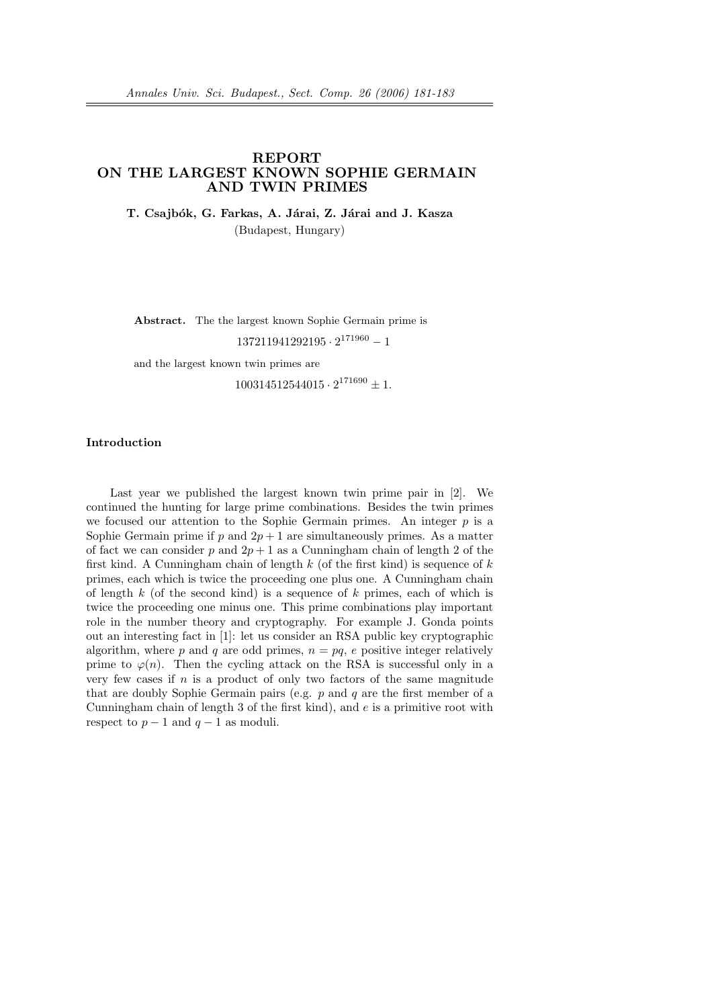## REPORT ON THE LARGEST KNOWN SOPHIE GERMAIN AND TWIN PRIMES

T. Csajbók, G. Farkas, A. Járai, Z. Járai and J. Kasza

(Budapest, Hungary)

Abstract. The the largest known Sophie Germain prime is

 $137211941292195 \cdot 2^{171960} - 1$ 

and the largest known twin primes are

 $100314512544015 \cdot 2^{171690} \pm 1.$ 

## Introduction

Last year we published the largest known twin prime pair in [2]. We continued the hunting for large prime combinations. Besides the twin primes we focused our attention to the Sophie Germain primes. An integer  $p$  is a Sophie Germain prime if p and  $2p + 1$  are simultaneously primes. As a matter of fact we can consider p and  $2p + 1$  as a Cunningham chain of length 2 of the first kind. A Cunningham chain of length  $k$  (of the first kind) is sequence of  $k$ primes, each which is twice the proceeding one plus one. A Cunningham chain of length k (of the second kind) is a sequence of k primes, each of which is twice the proceeding one minus one. This prime combinations play important role in the number theory and cryptography. For example J. Gonda points out an interesting fact in [1]: let us consider an RSA public key cryptographic algorithm, where p and q are odd primes,  $n = pq$ , e positive integer relatively prime to  $\varphi(n)$ . Then the cycling attack on the RSA is successful only in a very few cases if  $n$  is a product of only two factors of the same magnitude that are doubly Sophie Germain pairs (e.g.  $p$  and  $q$  are the first member of a Cunningham chain of length 3 of the first kind), and  $e$  is a primitive root with respect to  $p-1$  and  $q-1$  as moduli.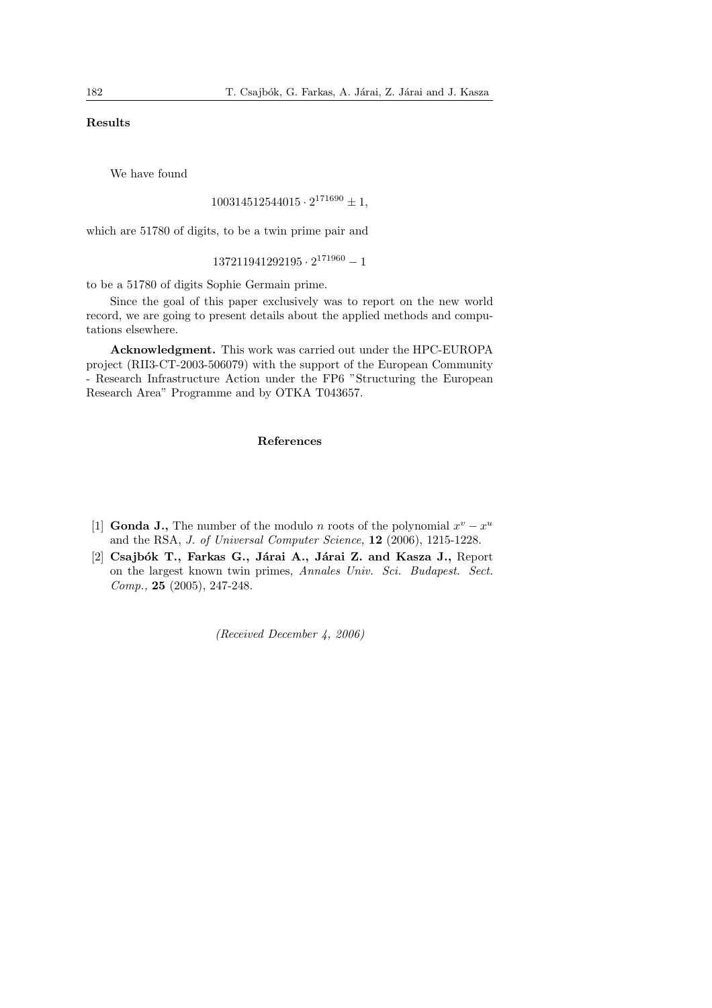## Results

We have found

```
100314512544015 \cdot 2^{171690} \pm 1,
```
which are 51780 of digits, to be a twin prime pair and

 $137211941292195 \cdot 2^{171960} - 1$ 

to be a 51780 of digits Sophie Germain prime.

Since the goal of this paper exclusively was to report on the new world record, we are going to present details about the applied methods and computations elsewhere.

Acknowledgment. This work was carried out under the HPC-EUROPA project (RII3-CT-2003-506079) with the support of the European Community - Research Infrastructure Action under the FP6 "Structuring the European Research Area" Programme and by OTKA T043657.

## References

- [1] **Gonda J.**, The number of the modulo *n* roots of the polynomial  $x^v x^u$ and the RSA, J. of Universal Computer Science, 12 (2006), 1215-1228.
- [2] Csajbók T., Farkas G., Járai A., Járai Z. and Kasza J., Report on the largest known twin primes, Annales Univ. Sci. Budapest. Sect.  $Comp., 25 (2005), 247-248.$

(Received December 4, 2006)